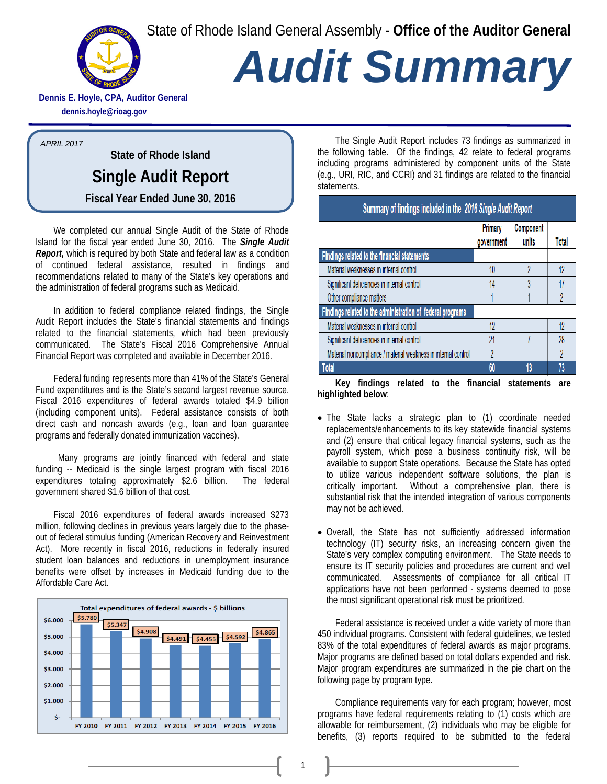State of Rhode Island General Assembly - **Office of the Auditor General**



## *Audit Summary*

**Dennis E. Hoyle, CPA, Auditor General dennis.hoyle@rioag.gov**

*APRIL 2017*

**State of Rhode Island Single Audit Report Fiscal Year Ended June 30, 2016**

We completed our annual Single Audit of the State of Rhode Island for the fiscal year ended June 30, 2016. The *Single Audit Report,* which is required by both State and federal law as a condition of continued federal assistance, resulted in findings and recommendations related to many of the State's key operations and the administration of federal programs such as Medicaid.

In addition to federal compliance related findings, the Single Audit Report includes the State's financial statements and findings related to the financial statements, which had been previously communicated. The State's Fiscal 2016 Comprehensive Annual Financial Report was completed and available in December 2016.

Federal funding represents more than 41% of the State's General Fund expenditures and is the State's second largest revenue source. Fiscal 2016 expenditures of federal awards totaled \$4.9 billion (including component units). Federal assistance consists of both direct cash and noncash awards (e.g., loan and loan guarantee programs and federally donated immunization vaccines).

 Many programs are jointly financed with federal and state funding -- Medicaid is the single largest program with fiscal 2016 expenditures totaling approximately \$2.6 billion. The federal government shared \$1.6 billion of that cost.

Fiscal 2016 expenditures of federal awards increased \$273 million, following declines in previous years largely due to the phaseout of federal stimulus funding (American Recovery and Reinvestment Act). More recently in fiscal 2016, reductions in federally insured student loan balances and reductions in unemployment insurance benefits were offset by increases in Medicaid funding due to the Affordable Care Act.



The Single Audit Report includes 73 findings as summarized in the following table. Of the findings, 42 relate to federal programs including programs administered by component units of the State (e.g., URI, RIC, and CCRI) and 31 findings are related to the financial statements.

| Summary of findings included in the 2016 Single Audit Report   |                       |                    |              |
|----------------------------------------------------------------|-----------------------|--------------------|--------------|
|                                                                | Primary<br>government | Component<br>units | <b>Total</b> |
| Findings related to the financial statements                   |                       |                    |              |
| Material weaknesses in internal control                        | 10                    |                    | 12           |
| Significant deficiencies in internal control                   | 14                    |                    | 17           |
| Other compliance matters                                       |                       |                    |              |
| Findings related to the administration of federal programs     |                       |                    |              |
| Material weaknesses in internal control                        | 12                    |                    | 12           |
| Significant deficiencies in internal control                   | 21                    |                    | 28           |
| Material noncompliance / material weakness in internal control | 2                     |                    | 2            |
| <b>Total</b>                                                   | 60                    | 13                 | 73           |

**Key findings related to the financial statements are highlighted below**:

- The State lacks a strategic plan to (1) coordinate needed replacements/enhancements to its key statewide financial systems and (2) ensure that critical legacy financial systems, such as the payroll system, which pose a business continuity risk, will be available to support State operations. Because the State has opted to utilize various independent software solutions, the plan is critically important. Without a comprehensive plan, there is substantial risk that the intended integration of various components may not be achieved.
- Overall, the State has not sufficiently addressed information technology (IT) security risks, an increasing concern given the State's very complex computing environment. The State needs to ensure its IT security policies and procedures are current and well communicated. Assessments of compliance for all critical IT applications have not been performed - systems deemed to pose the most significant operational risk must be prioritized.

Federal assistance is received under a wide variety of more than 450 individual programs. Consistent with federal guidelines, we tested 83% of the total expenditures of federal awards as major programs. Major programs are defined based on total dollars expended and risk. Major program expenditures are summarized in the pie chart on the following page by program type.

Compliance requirements vary for each program; however, most programs have federal requirements relating to (1) costs which are allowable for reimbursement, (2) individuals who may be eligible for benefits, (3) reports required to be submitted to the federal

1